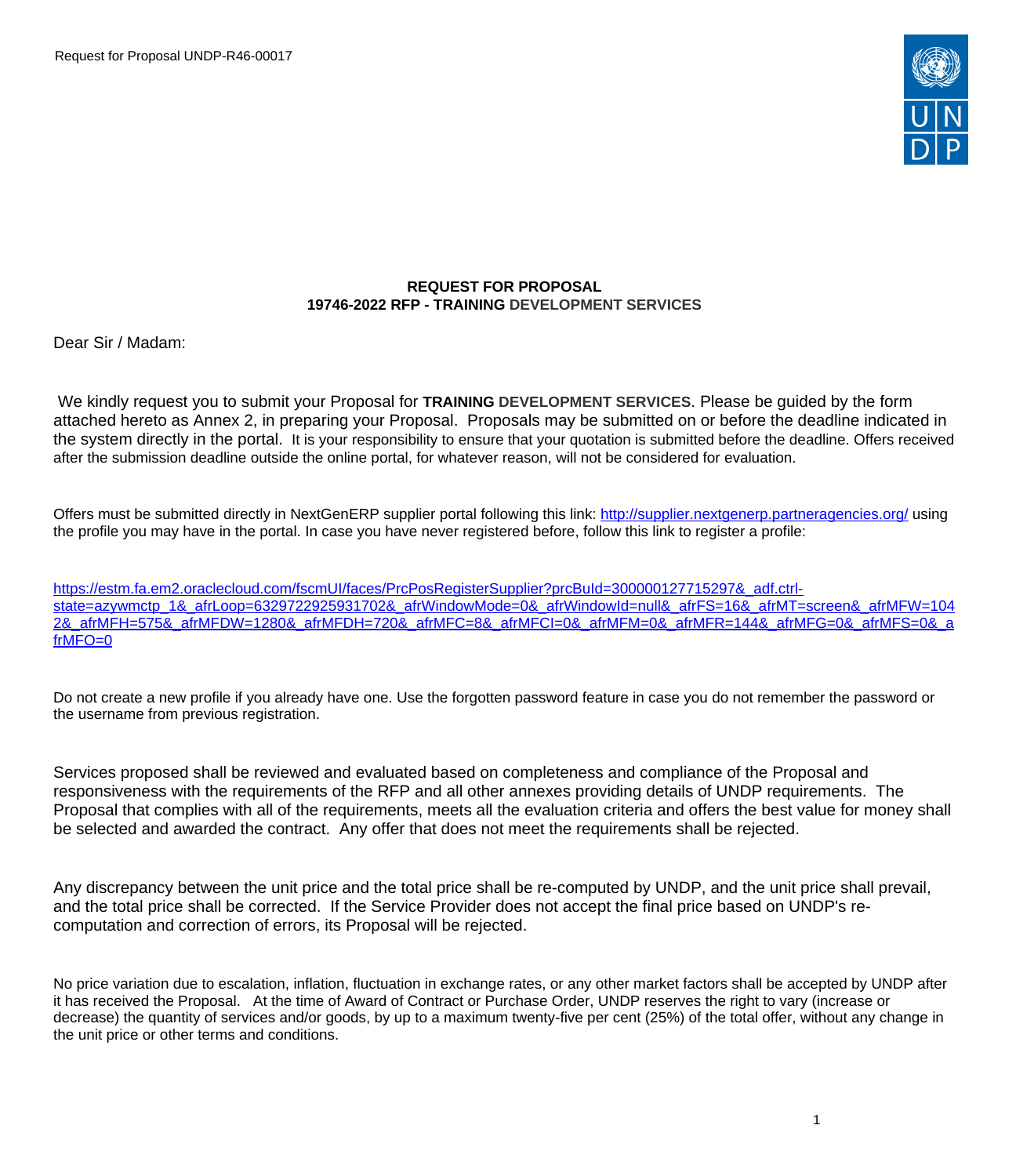

#### **REQUEST FOR PROPOSAL 19746-2022 RFP - TRAINING DEVELOPMENT SERVICES**

Dear Sir / Madam:

We kindly request you to submit your Proposal for **TRAINING DEVELOPMENT SERVICES**. Please be guided by the form attached hereto as Annex 2, in preparing your Proposal. Proposals may be submitted on or before the deadline indicated in the system directly in the portal. It is your responsibility to ensure that your quotation is submitted before the deadline. Offers received after the submission deadline outside the online portal, for whatever reason, will not be considered for evaluation.

Offers must be submitted directly in NextGenERP supplier portal following this link:<http://supplier.nextgenerp.partneragencies.org/>using the profile you may have in the portal. In case you have never registered before, follow this link to register a profile:

[https://estm.fa.em2.oraclecloud.com/fscmUI/faces/PrcPosRegisterSupplier?prcBuId=300000127715297&\\_adf.ctrl](https://estm.fa.em2.oraclecloud.com/fscmUI/faces/PrcPosRegisterSupplier?prcBuId=300000127715297&_adf.ctrl-state=azywmctp_1&_afrLoop=6329722925931702&_afrWindowMode=0&_afrWindowId=null&_afrFS=16&_afrMT=screen&_afrMFW=1042&_afrMFH=575&_afrMFDW=1280&_afrMFDH=720&_afrMFC=8&_afrMFCI=0&_afrMFM=0&_afrMFR=144&_afrMFG=0&_afrMFS=0&_afrMFO=0)[state=azywmctp\\_1&\\_afrLoop=6329722925931702&\\_afrWindowMode=0&\\_afrWindowId=null&\\_afrFS=16&\\_afrMT=screen&\\_afrMFW=104](https://estm.fa.em2.oraclecloud.com/fscmUI/faces/PrcPosRegisterSupplier?prcBuId=300000127715297&_adf.ctrl-state=azywmctp_1&_afrLoop=6329722925931702&_afrWindowMode=0&_afrWindowId=null&_afrFS=16&_afrMT=screen&_afrMFW=1042&_afrMFH=575&_afrMFDW=1280&_afrMFDH=720&_afrMFC=8&_afrMFCI=0&_afrMFM=0&_afrMFR=144&_afrMFG=0&_afrMFS=0&_afrMFO=0) [2&\\_afrMFH=575&\\_afrMFDW=1280&\\_afrMFDH=720&\\_afrMFC=8&\\_afrMFCI=0&\\_afrMFM=0&\\_afrMFR=144&\\_afrMFG=0&\\_afrMFS=0&\\_a](https://estm.fa.em2.oraclecloud.com/fscmUI/faces/PrcPosRegisterSupplier?prcBuId=300000127715297&_adf.ctrl-state=azywmctp_1&_afrLoop=6329722925931702&_afrWindowMode=0&_afrWindowId=null&_afrFS=16&_afrMT=screen&_afrMFW=1042&_afrMFH=575&_afrMFDW=1280&_afrMFDH=720&_afrMFC=8&_afrMFCI=0&_afrMFM=0&_afrMFR=144&_afrMFG=0&_afrMFS=0&_afrMFO=0) [frMFO=0](https://estm.fa.em2.oraclecloud.com/fscmUI/faces/PrcPosRegisterSupplier?prcBuId=300000127715297&_adf.ctrl-state=azywmctp_1&_afrLoop=6329722925931702&_afrWindowMode=0&_afrWindowId=null&_afrFS=16&_afrMT=screen&_afrMFW=1042&_afrMFH=575&_afrMFDW=1280&_afrMFDH=720&_afrMFC=8&_afrMFCI=0&_afrMFM=0&_afrMFR=144&_afrMFG=0&_afrMFS=0&_afrMFO=0)

Do not create a new profile if you already have one. Use the forgotten password feature in case you do not remember the password or the username from previous registration.

Services proposed shall be reviewed and evaluated based on completeness and compliance of the Proposal and responsiveness with the requirements of the RFP and all other annexes providing details of UNDP requirements. The Proposal that complies with all of the requirements, meets all the evaluation criteria and offers the best value for money shall be selected and awarded the contract. Any offer that does not meet the requirements shall be rejected.

Any discrepancy between the unit price and the total price shall be re-computed by UNDP, and the unit price shall prevail, and the total price shall be corrected. If the Service Provider does not accept the final price based on UNDP's recomputation and correction of errors, its Proposal will be rejected.

No price variation due to escalation, inflation, fluctuation in exchange rates, or any other market factors shall be accepted by UNDP after it has received the Proposal. At the time of Award of Contract or Purchase Order, UNDP reserves the right to vary (increase or decrease) the quantity of services and/or goods, by up to a maximum twenty-five per cent (25%) of the total offer, without any change in the unit price or other terms and conditions.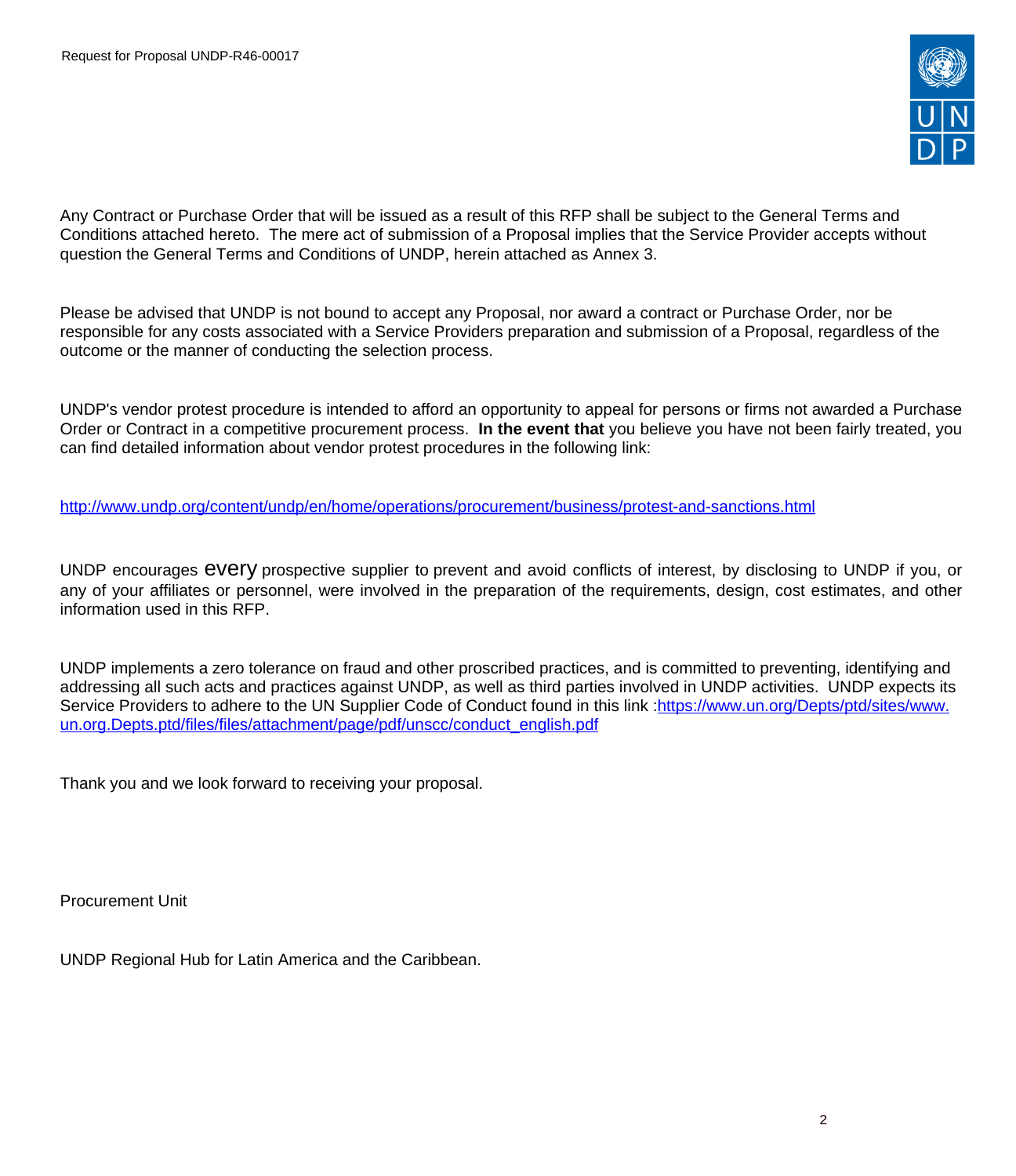

Any Contract or Purchase Order that will be issued as a result of this RFP shall be subject to the General Terms and Conditions attached hereto. The mere act of submission of a Proposal implies that the Service Provider accepts without question the General Terms and Conditions of UNDP, herein attached as Annex 3.

Please be advised that UNDP is not bound to accept any Proposal, nor award a contract or Purchase Order, nor be responsible for any costs associated with a Service Providers preparation and submission of a Proposal, regardless of the outcome or the manner of conducting the selection process.

UNDP's vendor protest procedure is intended to afford an opportunity to appeal for persons or firms not awarded a Purchase Order or Contract in a competitive procurement process. **In the event that** you believe you have not been fairly treated, you can find detailed information about vendor protest procedures in the following link:

<http://www.undp.org/content/undp/en/home/operations/procurement/business/protest-and-sanctions.html>

UNDP encourages every prospective supplier to prevent and avoid conflicts of interest, by disclosing to UNDP if you, or any of your affiliates or personnel, were involved in the preparation of the requirements, design, cost estimates, and other information used in this RFP.

UNDP implements a zero tolerance on fraud and other proscribed practices, and is committed to preventing, identifying and addressing all such acts and practices against UNDP, as well as third parties involved in UNDP activities. UNDP expects its Service Providers to adhere to the UN Supplier Code of Conduct found in this link :[https://www.un.org/Depts/ptd/sites/www.](https://www.un.org/Depts/ptd/sites/www.un.org.Depts.ptd/files/files/attachment/page/pdf/unscc/conduct_english.pdf) [un.org.Depts.ptd/files/files/attachment/page/pdf/unscc/conduct\\_english.pdf](https://www.un.org/Depts/ptd/sites/www.un.org.Depts.ptd/files/files/attachment/page/pdf/unscc/conduct_english.pdf)

Thank you and we look forward to receiving your proposal.

Procurement Unit

UNDP Regional Hub for Latin America and the Caribbean.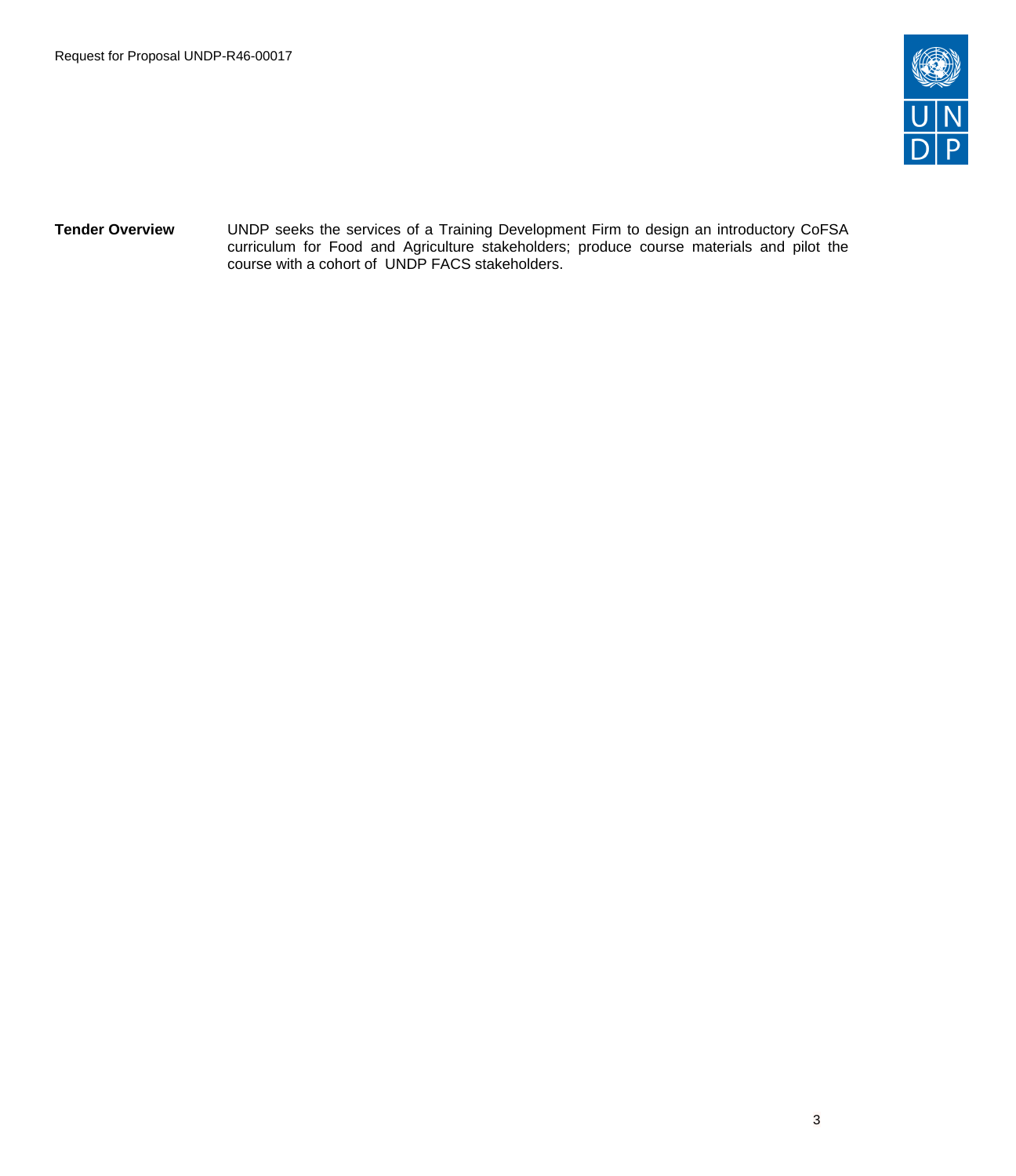

**Tender Overview** UNDP seeks the services of a Training Development Firm to design an introductory CoFSA curriculum for Food and Agriculture stakeholders; produce course materials and pilot the course with a cohort of UNDP FACS stakeholders.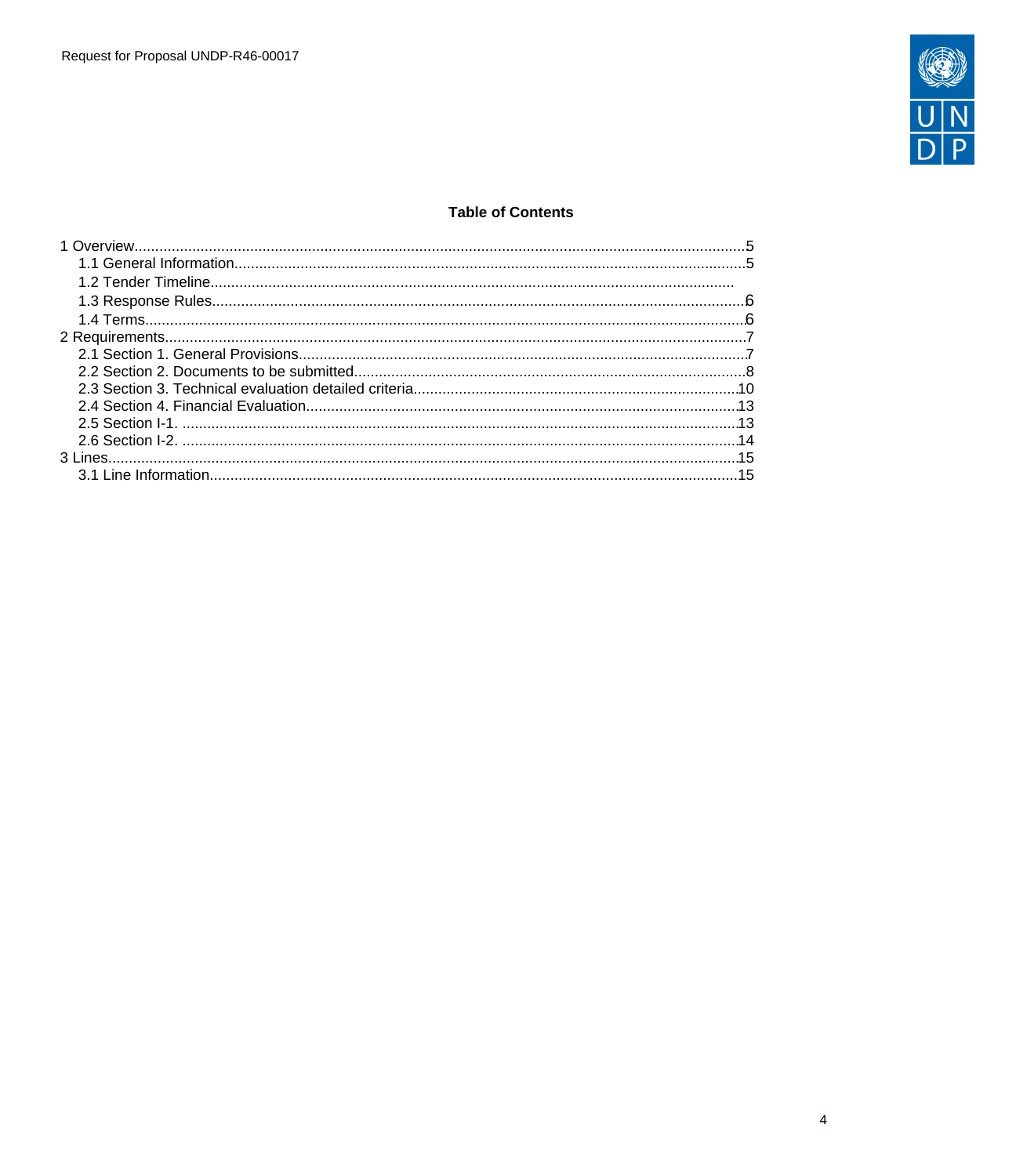

# **Table of Contents**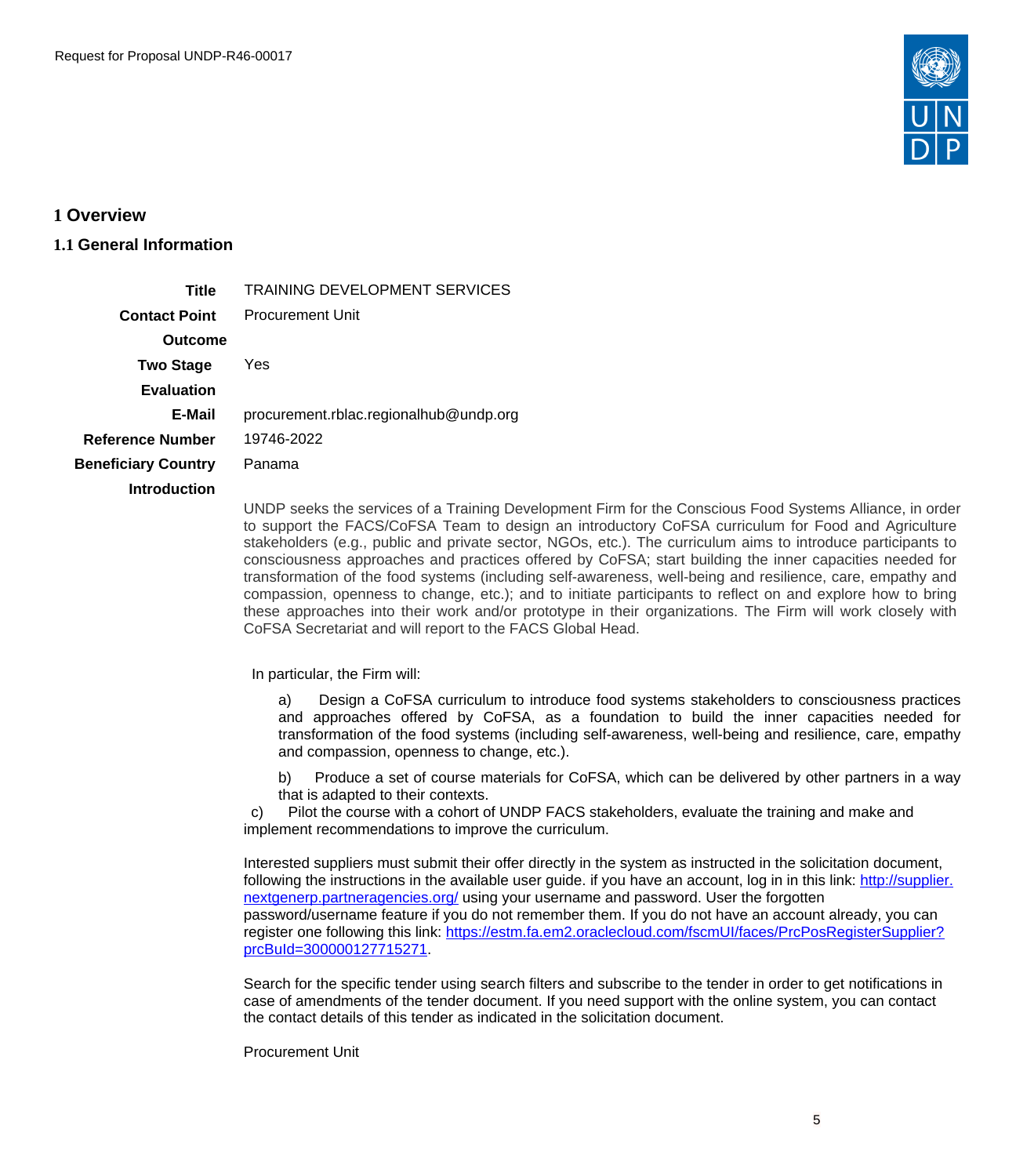

# <span id="page-4-0"></span>**1 Overview**

# <span id="page-4-1"></span>**1.1 General Information**

**Title** TRAINING DEVELOPMENT SERVICES **Contact Point** Procurement Unit **Outcome Two Stage Evaluation** Yes **E-Mail** procurement.rblac.regionalhub@undp.org **Reference Number** 19746-2022 **Beneficiary Country** Panama **Introduction**

UNDP seeks the services of a Training Development Firm for the Conscious Food Systems Alliance, in order to support the FACS/CoFSA Team to design an introductory CoFSA curriculum for Food and Agriculture stakeholders (e.g., public and private sector, NGOs, etc.). The curriculum aims to introduce participants to consciousness approaches and practices offered by CoFSA; start building the inner capacities needed for transformation of the food systems (including self-awareness, well-being and resilience, care, empathy and compassion, openness to change, etc.); and to initiate participants to reflect on and explore how to bring these approaches into their work and/or prototype in their organizations. The Firm will work closely with CoFSA Secretariat and will report to the FACS Global Head.

In particular, the Firm will:

a) Design a CoFSA curriculum to introduce food systems stakeholders to consciousness practices and approaches offered by CoFSA, as a foundation to build the inner capacities needed for transformation of the food systems (including self-awareness, well-being and resilience, care, empathy and compassion, openness to change, etc.).

b) Produce a set of course materials for CoFSA, which can be delivered by other partners in a way that is adapted to their contexts.

 c) Pilot the course with a cohort of UNDP FACS stakeholders, evaluate the training and make and implement recommendations to improve the curriculum.

Interested suppliers must submit their offer directly in the system as instructed in the solicitation document, following the instructions in the available user guide. if you have an account, log in in this link: [http://supplier.](http://supplier.nextgenerp.partneragencies.org/) [nextgenerp.partneragencies.org/](http://supplier.nextgenerp.partneragencies.org/) using your username and password. User the forgotten password/username feature if you do not remember them. If you do not have an account already, you can register one following this link: [https://estm.fa.em2.oraclecloud.com/fscmUI/faces/PrcPosRegisterSupplier?](https://estm.fa.em2.oraclecloud.com/fscmUI/faces/PrcPosRegisterSupplier?prcBuId=300000127715271) [prcBuId=300000127715271.](https://estm.fa.em2.oraclecloud.com/fscmUI/faces/PrcPosRegisterSupplier?prcBuId=300000127715271)

Search for the specific tender using search filters and subscribe to the tender in order to get notifications in case of amendments of the tender document. If you need support with the online system, you can contact the contact details of this tender as indicated in the solicitation document.

Procurement Unit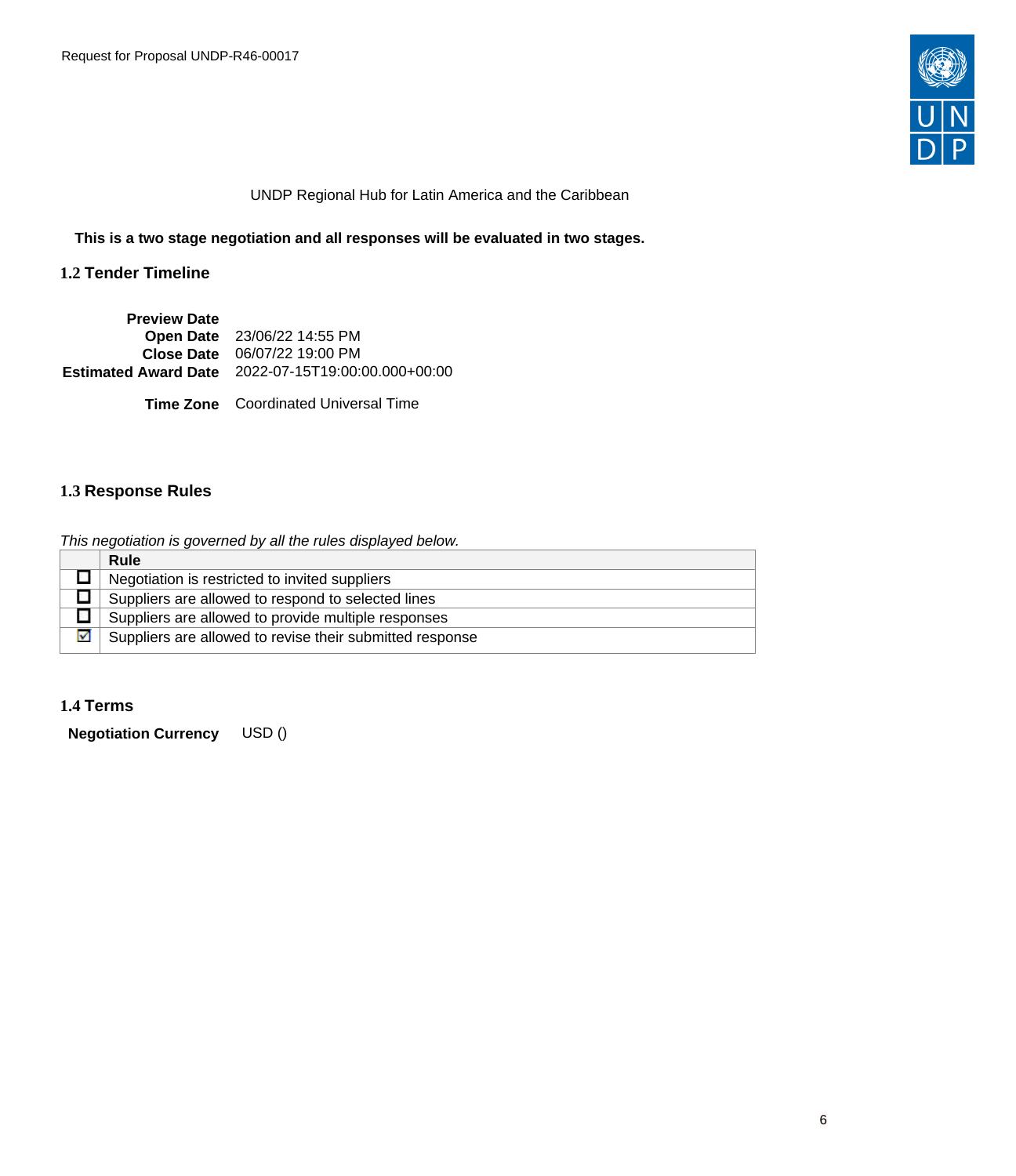

### UNDP Regional Hub for Latin America and the Caribbean

**This is a two stage negotiation and all responses will be evaluated in two stages.**

# **1.2 Tender Timeline**

| <b>Preview Date</b> |                                                           |
|---------------------|-----------------------------------------------------------|
|                     | Open Date 23/06/22 14:55 PM                               |
|                     | Close Date 06/07/22 19:00 PM                              |
|                     | <b>Estimated Award Date</b> 2022-07-15T19:00:00.000+00:00 |
|                     |                                                           |
|                     | <b>Time Zone</b> Coordinated Universal Time               |

# <span id="page-5-0"></span>**1.3 Response Rules**

This negotiation is governed by all the rules displayed below.

|   | <b>Rule</b>                                              |
|---|----------------------------------------------------------|
|   | Negotiation is restricted to invited suppliers           |
|   | Suppliers are allowed to respond to selected lines       |
|   | Suppliers are allowed to provide multiple responses      |
| M | Suppliers are allowed to revise their submitted response |

# <span id="page-5-1"></span>**1.4 Terms**

**Negotiation Currency** USD ()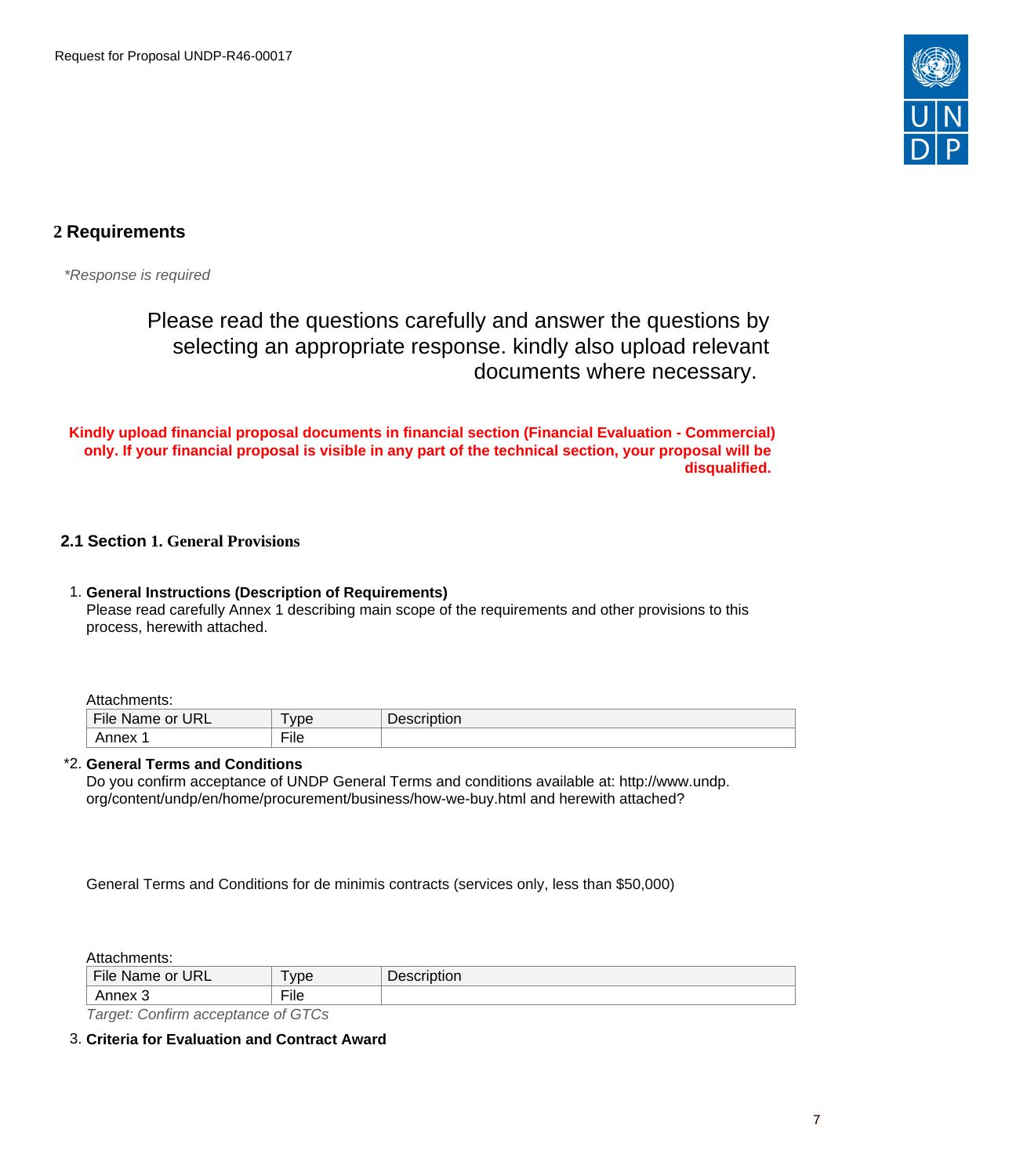

# <span id="page-6-0"></span>**2 Requirements**

\*Response is required

# Please read the questions carefully and answer the questions by selecting an appropriate response. kindly also upload relevant documents where necessary.

**Kindly upload financial proposal documents in financial section (Financial Evaluation - Commercial) only. If your financial proposal is visible in any part of the technical section, your proposal will be disqualified.** 

# <span id="page-6-1"></span>**2.1 Section 1. General Provisions**

### 1. **General Instructions (Description of Requirements)** Please read carefully Annex 1 describing main scope of the requirements and other provisions to this process, herewith attached.

Attachments:

| URL<br>- 14<br>or<br><b>Name</b><br>не | $-$<br>vpe               | ◡ |
|----------------------------------------|--------------------------|---|
|                                        | $- \cdot$<br><b>File</b> |   |
|                                        |                          |   |

# \*2. **General Terms and Conditions**

Do you confirm acceptance of UNDP General Terms and conditions available at: http://www.undp. org/content/undp/en/home/procurement/business/how-we-buy.html and herewith attached?

General Terms and Conditions for de minimis contracts (services only, less than \$50,000)

Attachments:

| File Name or<br><b>URL</b>                                                                            | <b>vpe</b>      | Description |  |  |
|-------------------------------------------------------------------------------------------------------|-----------------|-------------|--|--|
| Annex 3                                                                                               | $- \cdot$<br>Πe |             |  |  |
| $T_{\text{cutoff}}$ $\Omega_{\text{c}}$ $\Omega_{\text{cutoff}}$ is a set of $\Omega_{\text{cutoff}}$ |                 |             |  |  |

Target: Confirm acceptance of GTCs

<sup>3.</sup> **Criteria for Evaluation and Contract Award**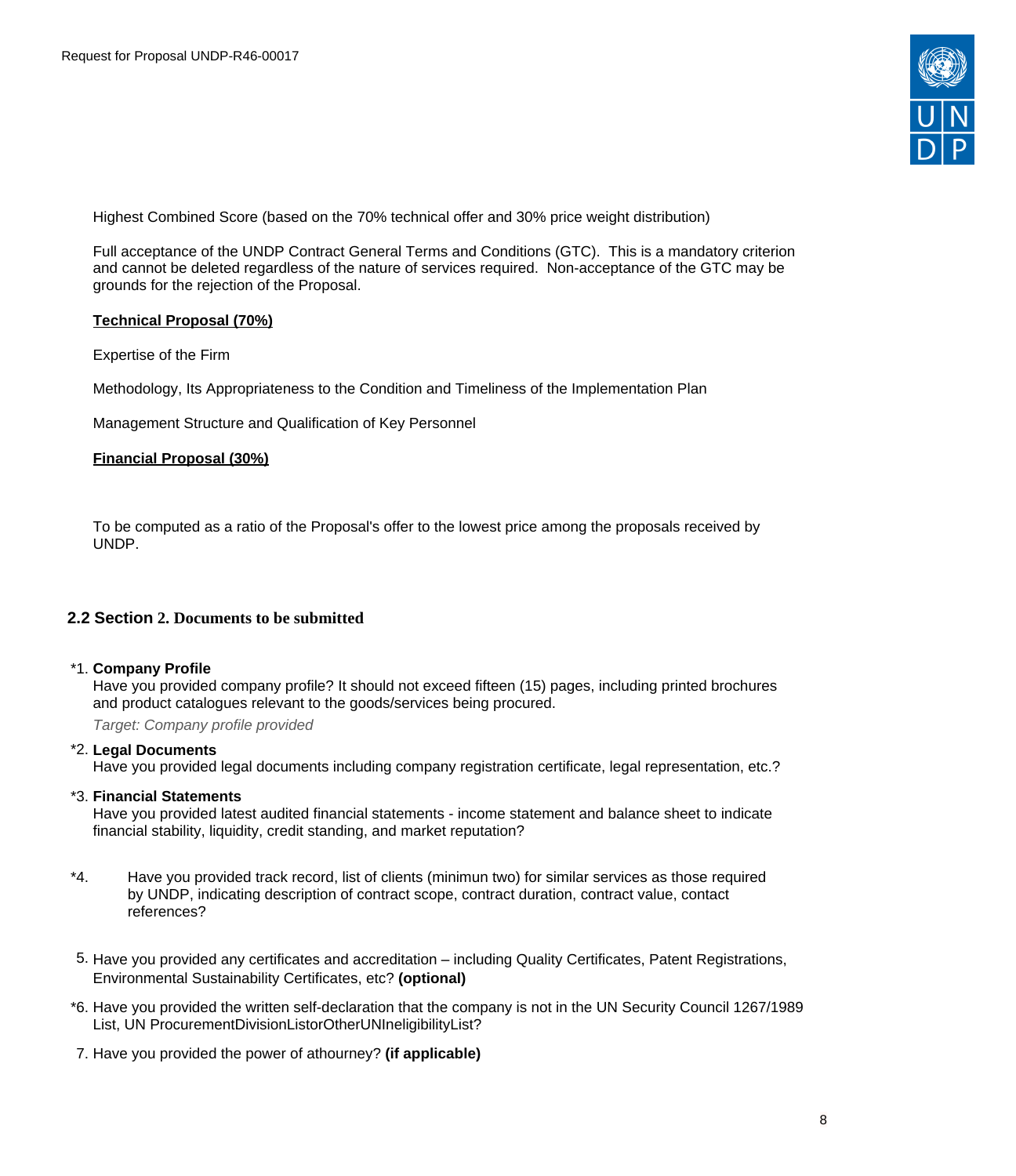

Highest Combined Score (based on the 70% technical offer and 30% price weight distribution)

Full acceptance of the UNDP Contract General Terms and Conditions (GTC). This is a mandatory criterion and cannot be deleted regardless of the nature of services required. Non-acceptance of the GTC may be grounds for the rejection of the Proposal.

### **Technical Proposal (70%)**

Expertise of the Firm

Methodology, Its Appropriateness to the Condition and Timeliness of the Implementation Plan

Management Structure and Qualification of Key Personnel

# **Financial Proposal (30%)**

To be computed as a ratio of the Proposal's offer to the lowest price among the proposals received by UNDP.

# <span id="page-7-0"></span>**2.2 Section 2. Documents to be submitted**

#### \*1. **Company Profile**

Have you provided company profile? It should not exceed fifteen (15) pages, including printed brochures and product catalogues relevant to the goods/services being procured.

Target: Company profile provided

#### \*2. **Legal Documents**

Have you provided legal documents including company registration certificate, legal representation, etc.?

#### \*3. **Financial Statements**

Have you provided latest audited financial statements - income statement and balance sheet to indicate financial stability, liquidity, credit standing, and market reputation?

- \*4. Have you provided track record, list of clients (minimun two) for similar services as those required by UNDP, indicating description of contract scope, contract duration, contract value, contact references?
- 5. Have you provided any certificates and accreditation including Quality Certificates, Patent Registrations, Environmental Sustainability Certificates, etc? **(optional)**
- \*6. Have you provided the written self-declaration that the company is not in the UN Security Council 1267/1989 List, UN ProcurementDivisionListorOtherUNIneligibilityList?
- 7. Have you provided the power of athourney? **(if applicable)**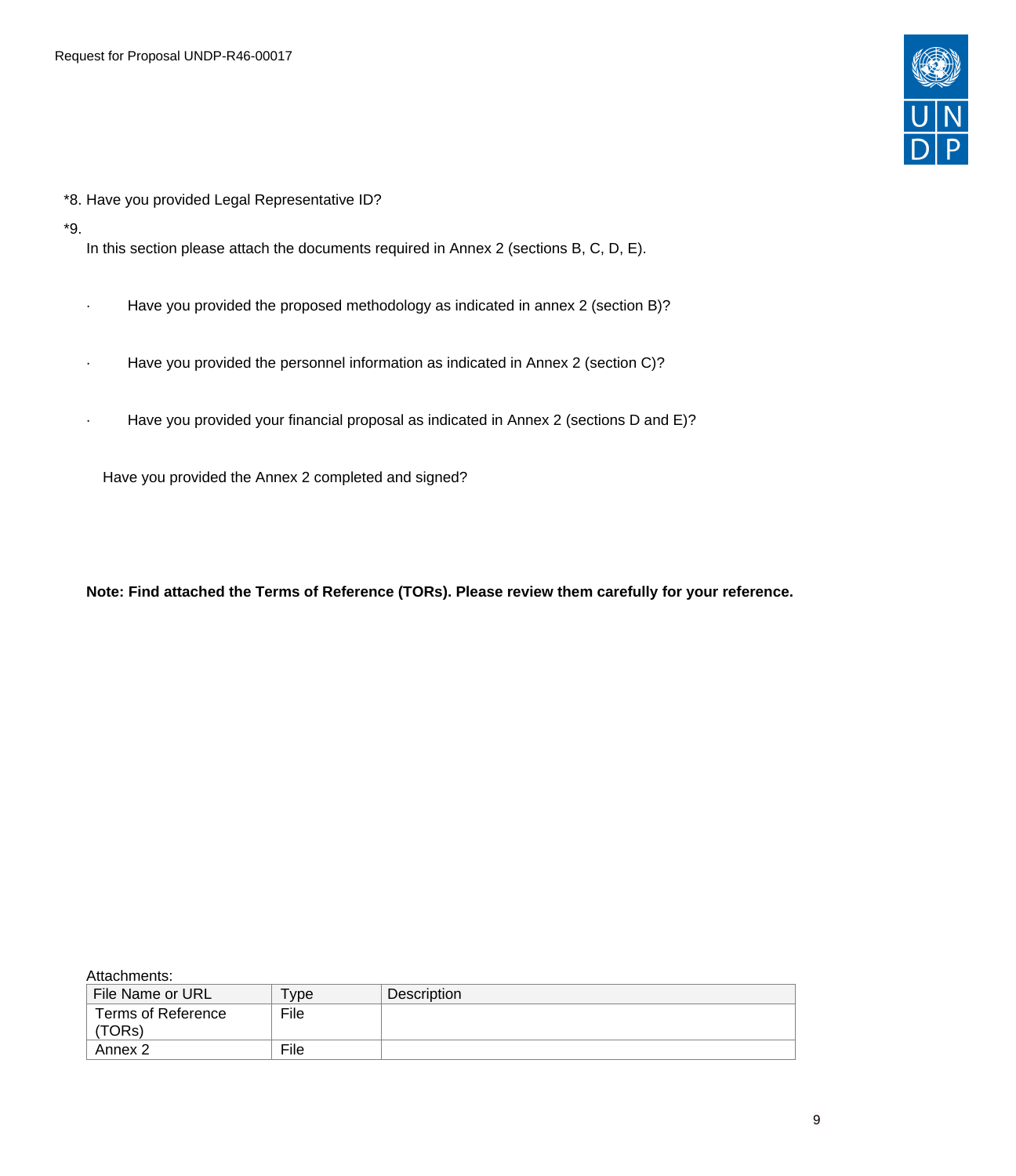

- \*8. Have you provided Legal Representative ID?
- \*9.

In this section please attach the documents required in Annex 2 (sections B, C, D, E).

- · Have you provided the proposed methodology as indicated in annex 2 (section B)?
- Have you provided the personnel information as indicated in Annex 2 (section C)?
- Have you provided your financial proposal as indicated in Annex 2 (sections D and E)?

Have you provided the Annex 2 completed and signed?

**Note: Find attached the Terms of Reference (TORs). Please review them carefully for your reference.**

#### Attachments:

| File Name or URL             | <b>vpe</b> | Description |
|------------------------------|------------|-------------|
| Terms of Reference<br>'TORs) | File       |             |
| Annex 2                      | File       |             |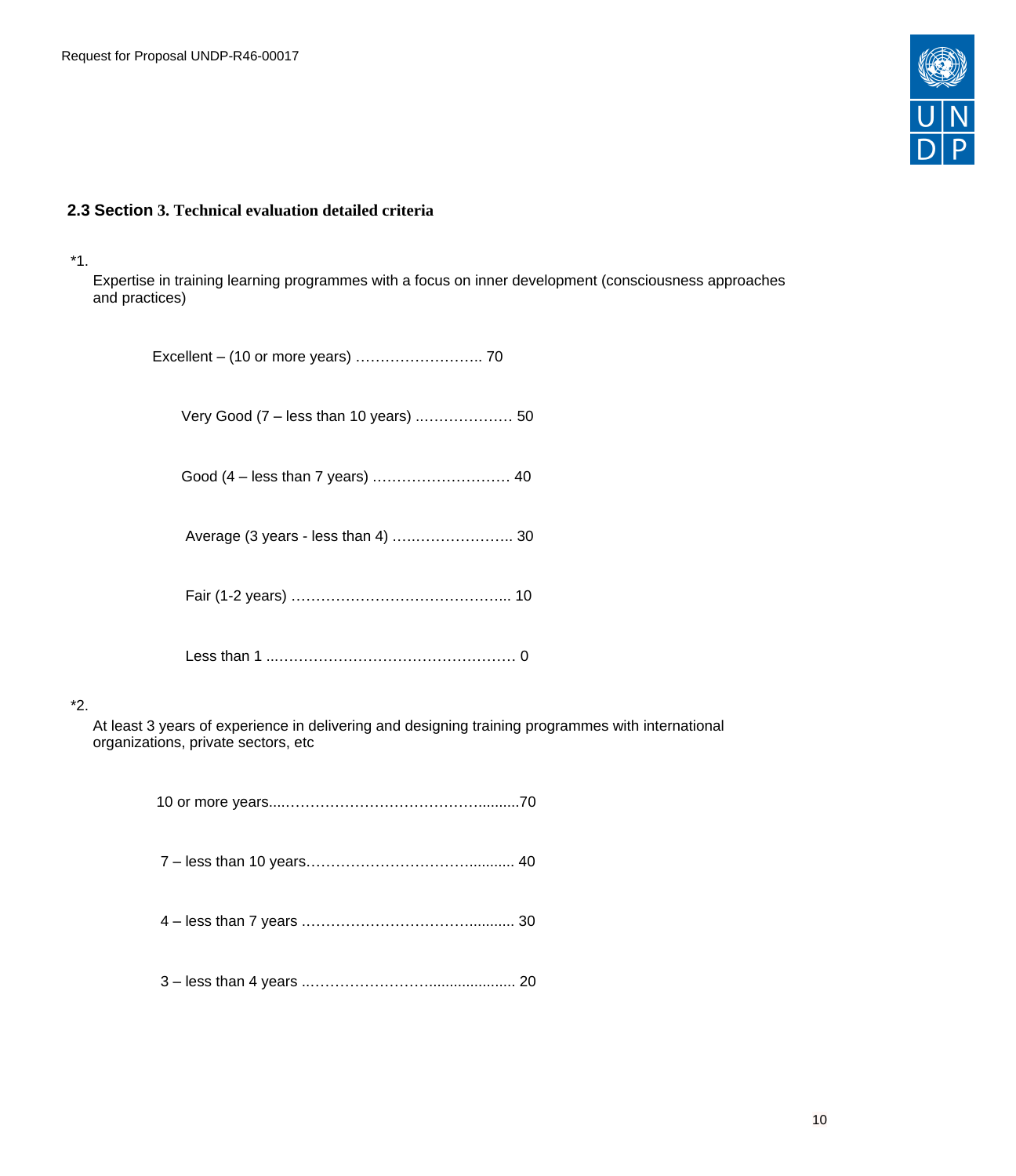

# <span id="page-9-0"></span>**2.3 Section 3. Technical evaluation detailed criteria**

#### \*1.

\*2.

Expertise in training learning programmes with a focus on inner development (consciousness approaches and practices)

| Average (3 years - less than 4)  30                                                                                                      |
|------------------------------------------------------------------------------------------------------------------------------------------|
|                                                                                                                                          |
|                                                                                                                                          |
| At least 3 years of experience in delivering and designing training programmes with international<br>organizations, private sectors, etc |
|                                                                                                                                          |
|                                                                                                                                          |

- 4 less than 7 years .……………………………........... 30
- 3 less than 4 years ..……………………..................... 20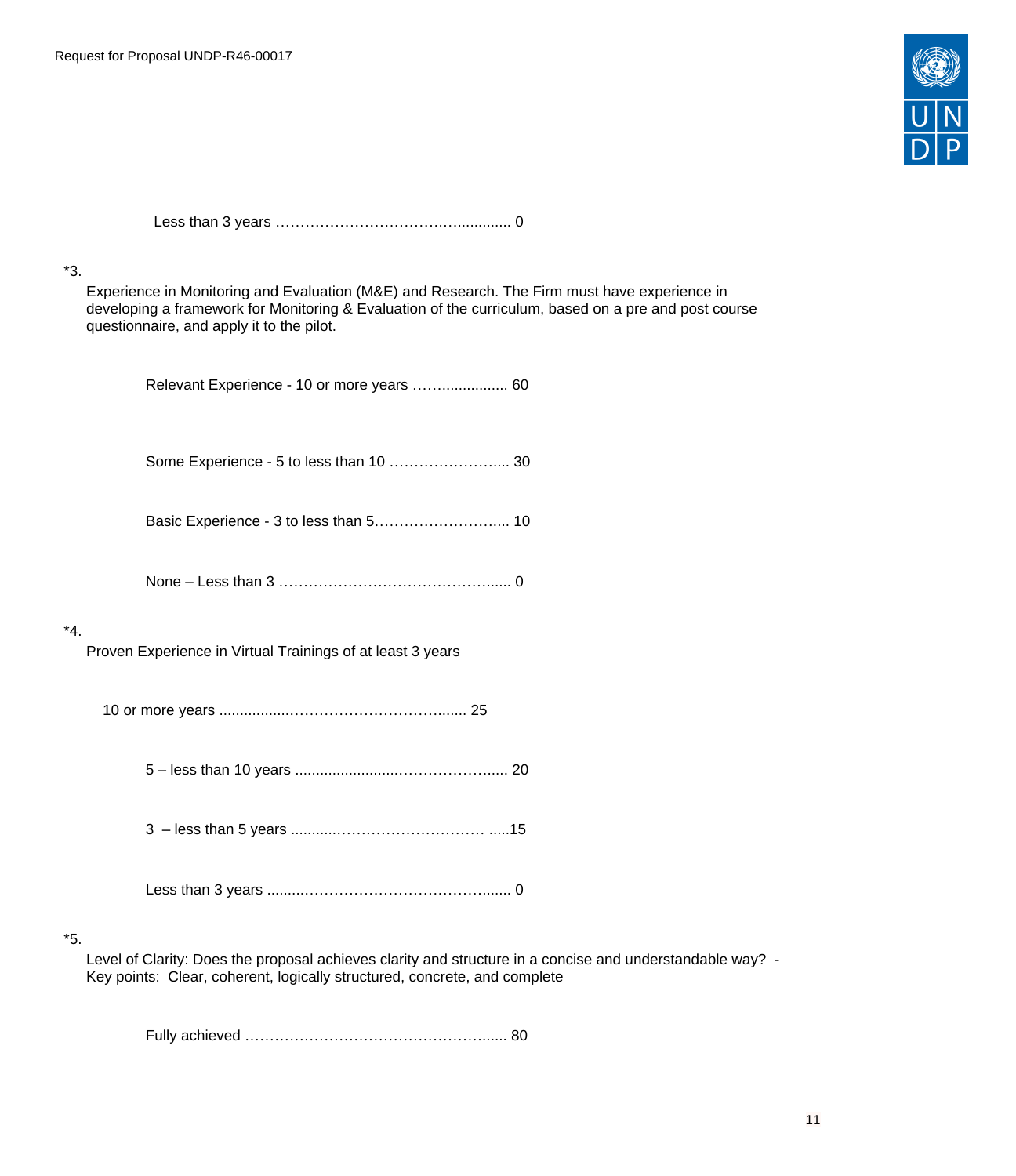

 Less than 3 years …………………………….…............. 0 \*3. Experience in Monitoring and Evaluation (M&E) and Research. The Firm must have experience in developing a framework for Monitoring & Evaluation of the curriculum, based on a pre and post course questionnaire, and apply it to the pilot. Relevant Experience - 10 or more years ……................ 60 Some Experience - 5 to less than 10 ………………….... 30 Basic Experience - 3 to less than 5.................................. 10 None – Less than 3 ……………………………………...... 0 \*4. Proven Experience in Virtual Trainings of at least 3 years 10 or more years .................…………………………....... 25 5 – less than 10 years .........................………………..... 20 3 – less than 5 years ...........………………………… .....15 Less than 3 years .........………………………………....... 0 \*5. Level of Clarity: Does the proposal achieves clarity and structure in a concise and understandable way? -

Fully achieved …………………………………………...... 80

Key points: Clear, coherent, logically structured, concrete, and complete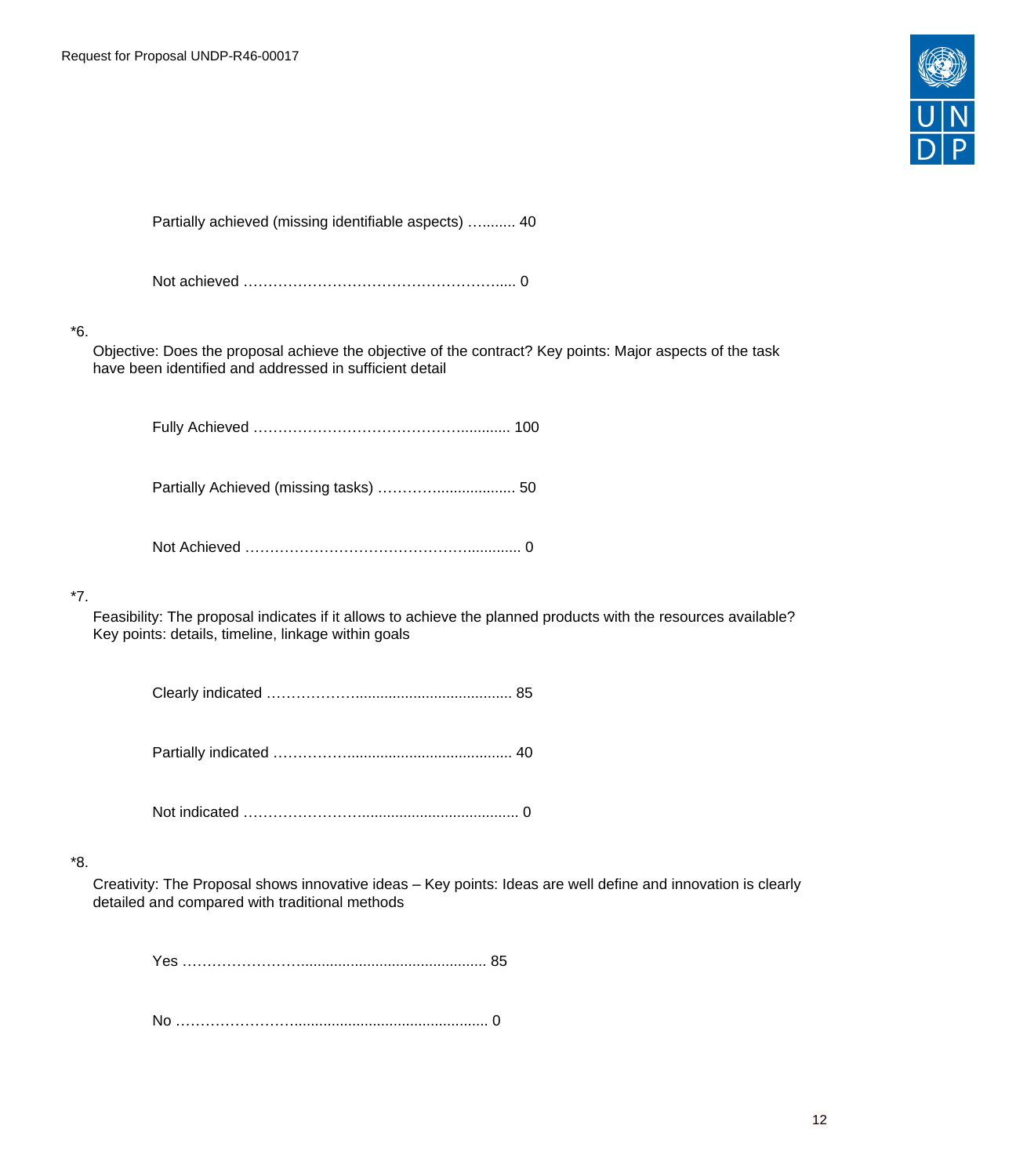

Partially achieved (missing identifiable aspects) …........ 40

Not achieved ……………………………………………..... 0

# \*6.

Objective: Does the proposal achieve the objective of the contract? Key points: Major aspects of the task have been identified and addressed in sufficient detail

Fully Achieved ……………………………………............ 100

Partially Achieved (missing tasks) …………................... 50

Not Achieved ………………………………………............. 0

# \*7.

Feasibility: The proposal indicates if it allows to achieve the planned products with the resources available? Key points: details, timeline, linkage within goals

Clearly indicated ………………...................................... 85

Partially indicated ……………........................................ 40

Not indicated ……………………...................................... 0

# \*8.

Creativity: The Proposal shows innovative ideas – Key points: Ideas are well define and innovation is clearly detailed and compared with traditional methods

Yes ……………………............................................. 85

No ……………………............................................... 0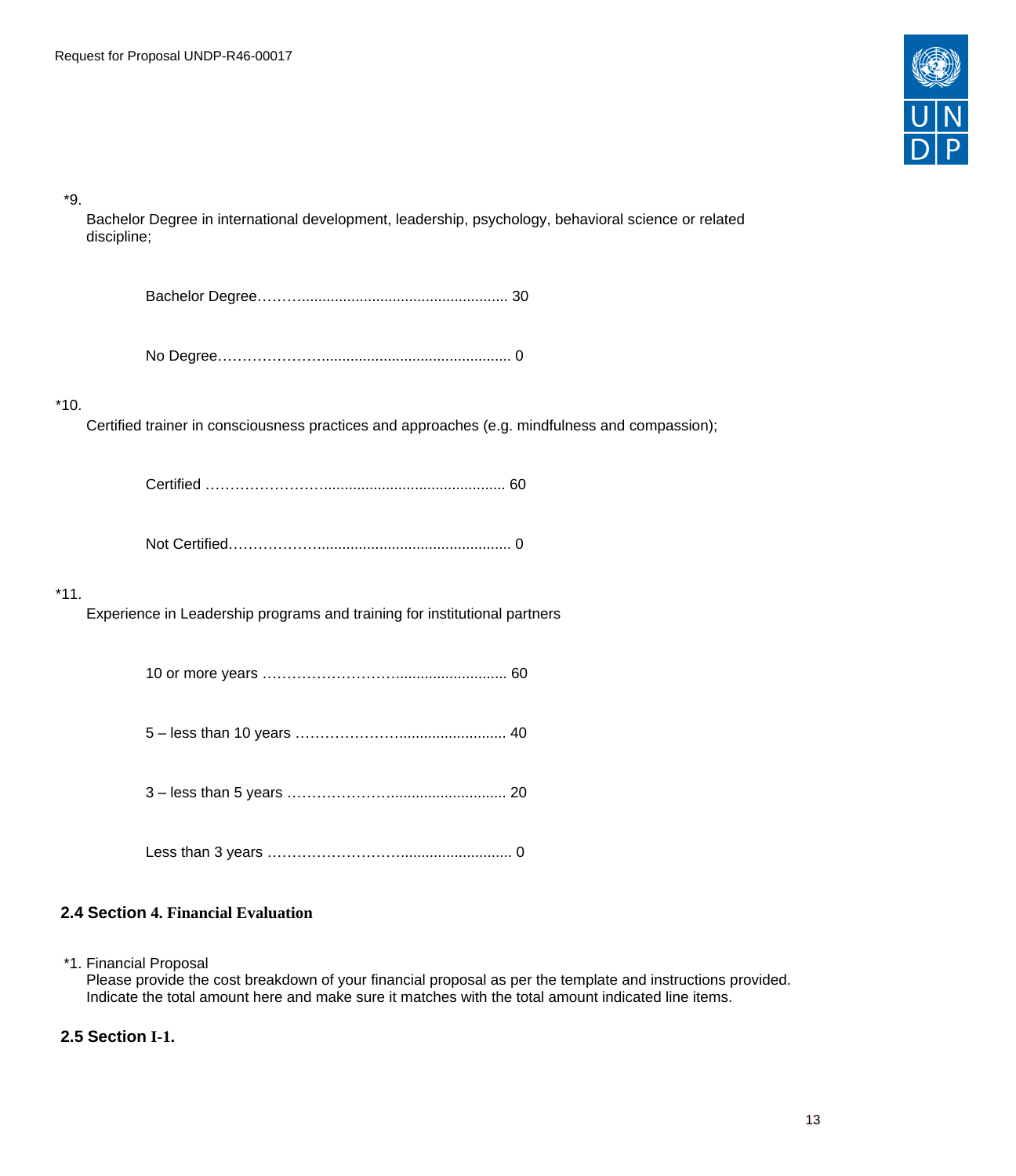

\*9.

Bachelor Degree in international development, leadership, psychology, behavioral science or related discipline;

|--|

No Degree………………….............................................. 0

# \*10.

Certified trainer in consciousness practices and approaches (e.g. mindfulness and compassion);

Not Certified………………............................................... 0

# \*11.

Experience in Leadership programs and training for institutional partners

|--|--|

- 5 less than 10 years ………………….......................... 40
- 3 less than 5 years …………………............................ 20
- Less than 3 years ………………………........................... 0

# <span id="page-12-0"></span>**2.4 Section 4. Financial Evaluation**

\*1. Financial Proposal

Please provide the cost breakdown of your financial proposal as per the template and instructions provided. Indicate the total amount here and make sure it matches with the total amount indicated line items.

# <span id="page-12-1"></span>**2.5 Section I-1.**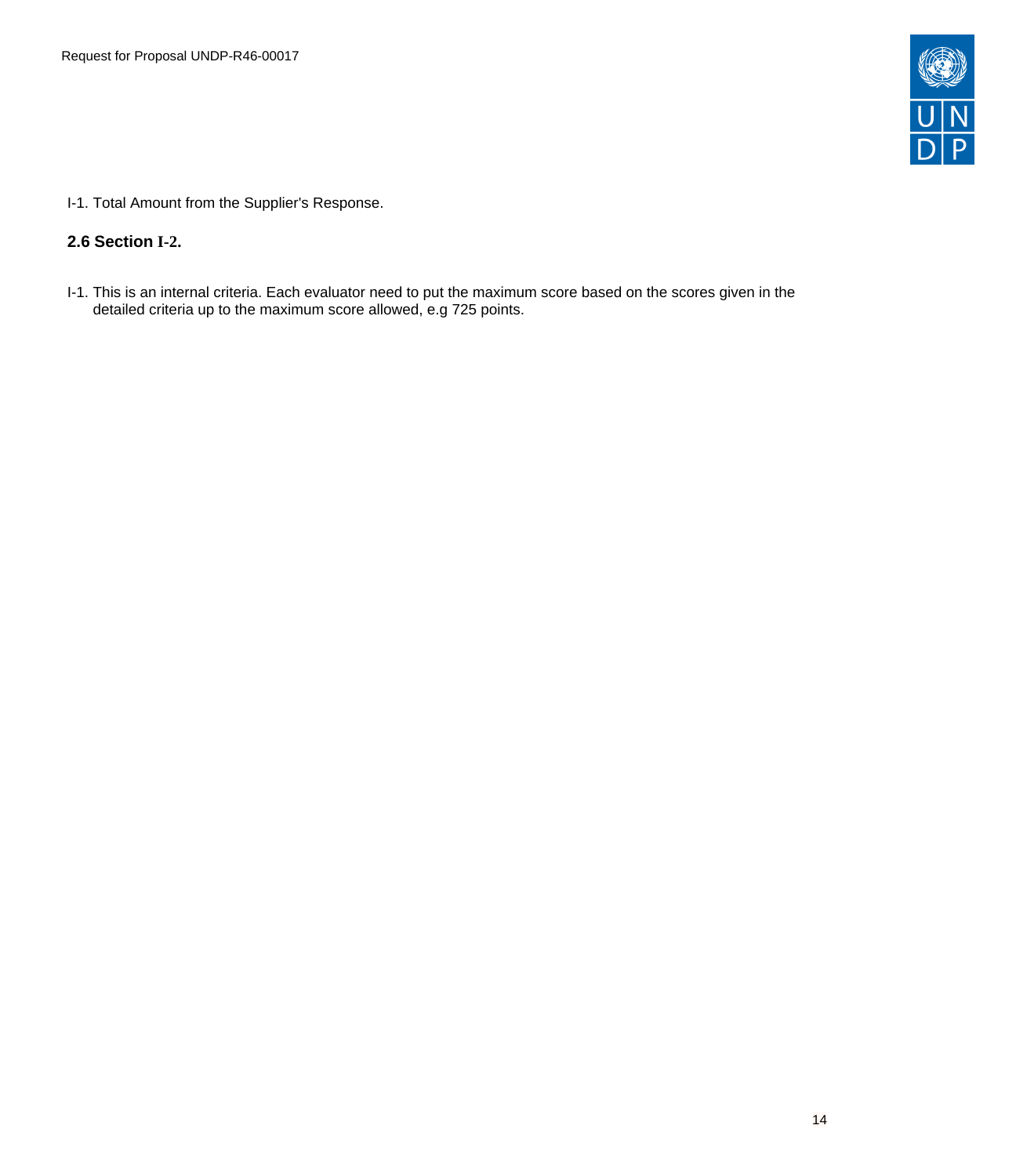

I-1. Total Amount from the Supplier's Response.

# <span id="page-13-0"></span>**2.6 Section I-2.**

I-1. This is an internal criteria. Each evaluator need to put the maximum score based on the scores given in the detailed criteria up to the maximum score allowed, e.g 725 points.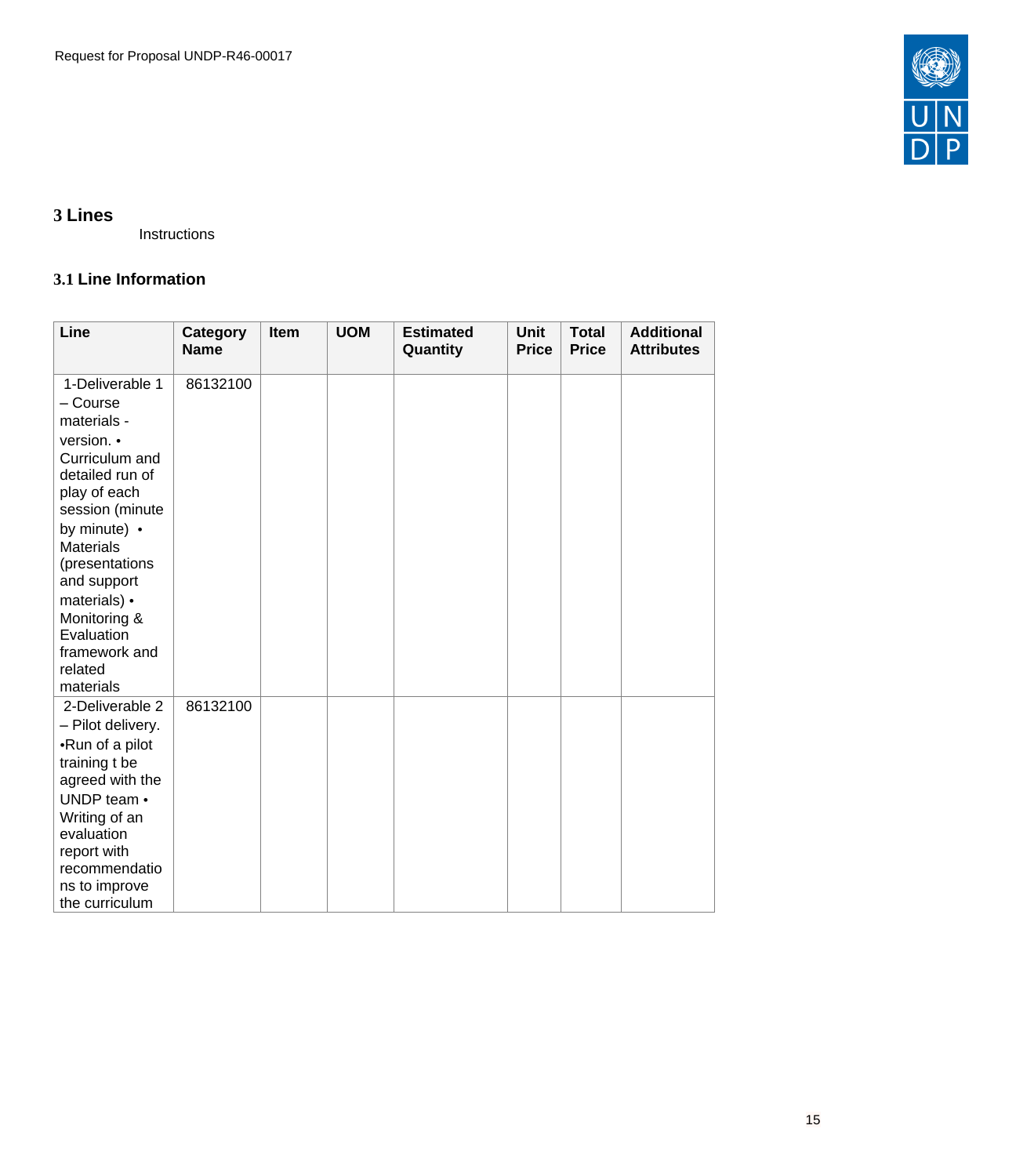

# <span id="page-14-0"></span>**3 Lines**

Instructions

# <span id="page-14-1"></span>**3.1 Line Information**

| Line                                                                                                                                                                                                                                                                                         | Category<br><b>Name</b> | Item | <b>UOM</b> | <b>Estimated</b><br>Quantity | <b>Unit</b><br><b>Price</b> | <b>Total</b><br><b>Price</b> | <b>Additional</b><br><b>Attributes</b> |
|----------------------------------------------------------------------------------------------------------------------------------------------------------------------------------------------------------------------------------------------------------------------------------------------|-------------------------|------|------------|------------------------------|-----------------------------|------------------------------|----------------------------------------|
| 1-Deliverable 1<br>- Course<br>materials -<br>version. •<br>Curriculum and<br>detailed run of<br>play of each<br>session (minute<br>by minute) •<br><b>Materials</b><br>(presentations<br>and support<br>materials) •<br>Monitoring &<br>Evaluation<br>framework and<br>related<br>materials | 86132100                |      |            |                              |                             |                              |                                        |
| 2-Deliverable 2<br>- Pilot delivery.<br>• Run of a pilot<br>training t be<br>agreed with the<br>UNDP team •<br>Writing of an<br>evaluation<br>report with<br>recommendatio<br>ns to improve<br>the curriculum                                                                                | 86132100                |      |            |                              |                             |                              |                                        |